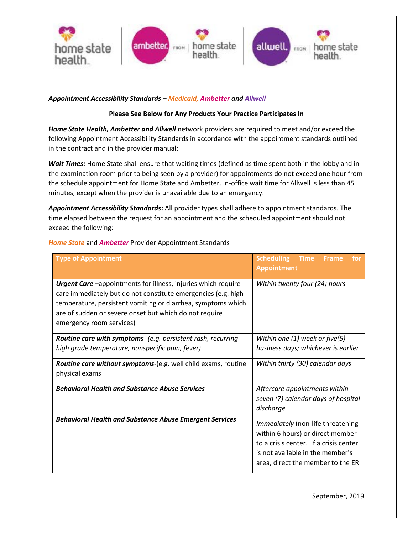

## *Appointment Accessibility Standards – Medicaid, Ambetter and Allwell*

### **Please See Below for Any Products Your Practice Participates In**

*Home State Health, Ambetter and Allwell* network providers are required to meet and/or exceed the following Appointment Accessibility Standards in accordance with the appointment standards outlined in the contract and in the provider manual:

Wait Times: Home State shall ensure that waiting times (defined as time spent both in the lobby and in the examination room prior to being seen by a provider) for appointments do not exceed one hour from the schedule appointment for Home State and Ambetter. In-office wait time for Allwell is less than 45 minutes, except when the provider is unavailable due to an emergency.

*Appointment Accessibility Standards***:** All provider types shall adhere to appointment standards. The time elapsed between the request for an appointment and the scheduled appointment should not exceed the following:

| <b>Type of Appointment</b>                                                                                                                                                                                                                                                                  | <b>Scheduling</b><br><b>Time</b><br><b>Frame</b><br>for<br><b>Appointment</b>                                                                                                            |  |  |
|---------------------------------------------------------------------------------------------------------------------------------------------------------------------------------------------------------------------------------------------------------------------------------------------|------------------------------------------------------------------------------------------------------------------------------------------------------------------------------------------|--|--|
| <b>Urgent Care</b> -appointments for illness, injuries which require<br>care immediately but do not constitute emergencies (e.g. high<br>temperature, persistent vomiting or diarrhea, symptoms which<br>are of sudden or severe onset but which do not require<br>emergency room services) | Within twenty four (24) hours                                                                                                                                                            |  |  |
| <b>Routine care with symptoms-</b> (e.g. persistent rash, recurring                                                                                                                                                                                                                         | Within one $(1)$ week or five $(5)$                                                                                                                                                      |  |  |
| high grade temperature, nonspecific pain, fever)                                                                                                                                                                                                                                            | business days; whichever is earlier                                                                                                                                                      |  |  |
| Routine care without symptoms-(e.g. well child exams, routine<br>physical exams                                                                                                                                                                                                             | Within thirty (30) calendar days                                                                                                                                                         |  |  |
| <b>Behavioral Health and Substance Abuse Services</b>                                                                                                                                                                                                                                       | Aftercare appointments within<br>seven (7) calendar days of hospital<br>discharge                                                                                                        |  |  |
| <b>Behavioral Health and Substance Abuse Emergent Services</b>                                                                                                                                                                                                                              | Immediately (non-life threatening<br>within 6 hours) or direct member<br>to a crisis center. If a crisis center<br>is not available in the member's<br>area, direct the member to the ER |  |  |

### *Home State* and *Ambetter* Provider Appointment Standards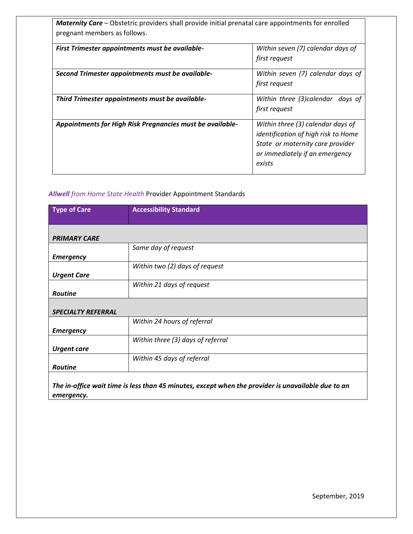*Maternity Care* – Obstetric providers shall provide initial prenatal care appointments for enrolled pregnant members as follows.

| First Trimester appointments must be available-<br>Within seven (7) calendar days of<br>first request<br>Within seven (7) calendar days of<br>Second Trimester appointments must be available-<br>first request<br>Within three (3)calendar days of<br>Third Trimester appointments must be available- |               |
|--------------------------------------------------------------------------------------------------------------------------------------------------------------------------------------------------------------------------------------------------------------------------------------------------------|---------------|
|                                                                                                                                                                                                                                                                                                        |               |
|                                                                                                                                                                                                                                                                                                        |               |
|                                                                                                                                                                                                                                                                                                        |               |
|                                                                                                                                                                                                                                                                                                        |               |
|                                                                                                                                                                                                                                                                                                        |               |
|                                                                                                                                                                                                                                                                                                        | first request |
| Appointments for High Risk Pregnancies must be available-<br>Within three (3) calendar days of                                                                                                                                                                                                         |               |
| identification of high risk to Home                                                                                                                                                                                                                                                                    |               |
| State or maternity care provider                                                                                                                                                                                                                                                                       |               |
| or immediately if an emergency                                                                                                                                                                                                                                                                         |               |
| exists                                                                                                                                                                                                                                                                                                 |               |

## *Allwell from Home State Health* Provider Appointment Standards

| <b>Type of Care</b>       | <b>Accessibility Standard</b>     |
|---------------------------|-----------------------------------|
|                           |                                   |
|                           |                                   |
| <b>PRIMARY CARE</b>       |                                   |
|                           | Same day of request               |
| <b>Emergency</b>          |                                   |
|                           | Within two (2) days of request    |
| <b>Urgent Care</b>        |                                   |
|                           | Within 21 days of request         |
| <b>Routine</b>            |                                   |
|                           |                                   |
| <b>SPECIALTY REFERRAL</b> |                                   |
|                           | Within 24 hours of referral       |
| <b>Emergency</b>          |                                   |
|                           | Within three (3) days of referral |
| <b>Urgent care</b>        |                                   |
|                           | Within 45 days of referral        |
| <b>Routine</b>            |                                   |
|                           |                                   |

*The in-office wait time is less than 45 minutes, except when the provider is unavailable due to an emergency.*

September, 2019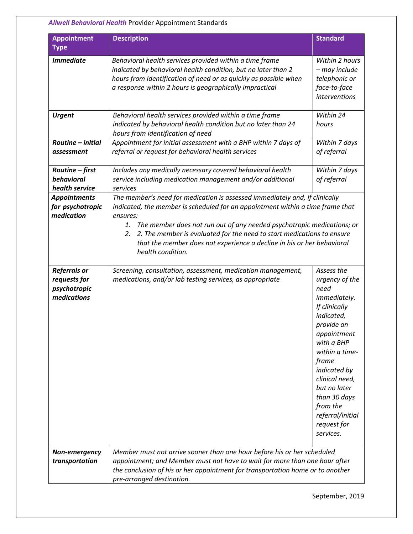# *Allwell Behavioral Health* Provider Appointment Standards

| <b>Appointment</b><br><b>Type</b>                                  | <b>Description</b>                                                                                                                                                                                                                                                                                                                                                                                                                       | <b>Standard</b>                                                                                                                                                                                                                                                                                |  |
|--------------------------------------------------------------------|------------------------------------------------------------------------------------------------------------------------------------------------------------------------------------------------------------------------------------------------------------------------------------------------------------------------------------------------------------------------------------------------------------------------------------------|------------------------------------------------------------------------------------------------------------------------------------------------------------------------------------------------------------------------------------------------------------------------------------------------|--|
| <b>Immediate</b>                                                   | Behavioral health services provided within a time frame<br>indicated by behavioral health condition, but no later than 2<br>hours from identification of need or as quickly as possible when<br>a response within 2 hours is geographically impractical                                                                                                                                                                                  | Within 2 hours<br>- may include<br>telephonic or<br>face-to-face<br>interventions                                                                                                                                                                                                              |  |
| <b>Urgent</b>                                                      | Behavioral health services provided within a time frame<br>indicated by behavioral health condition but no later than 24<br>hours from identification of need                                                                                                                                                                                                                                                                            | Within 24<br>hours                                                                                                                                                                                                                                                                             |  |
| Routine - initial<br>assessment                                    | Appointment for initial assessment with a BHP within 7 days of<br>referral or request for behavioral health services                                                                                                                                                                                                                                                                                                                     | Within 7 days<br>of referral                                                                                                                                                                                                                                                                   |  |
| Routine - first<br>behavioral<br>health service                    | Includes any medically necessary covered behavioral health<br>service including medication management and/or additional<br>services                                                                                                                                                                                                                                                                                                      | Within 7 days<br>of referral                                                                                                                                                                                                                                                                   |  |
| <b>Appointments</b><br>for psychotropic<br>medication              | The member's need for medication is assessed immediately and, if clinically<br>indicated, the member is scheduled for an appointment within a time frame that<br>ensures:<br>The member does not run out of any needed psychotropic medications; or<br>1.<br>2. The member is evaluated for the need to start medications to ensure<br>2.<br>that the member does not experience a decline in his or her behavioral<br>health condition. |                                                                                                                                                                                                                                                                                                |  |
| <b>Referrals or</b><br>requests for<br>psychotropic<br>medications | Screening, consultation, assessment, medication management,<br>medications, and/or lab testing services, as appropriate                                                                                                                                                                                                                                                                                                                  | Assess the<br>urgency of the<br>need<br><i>immediately.</i><br>If clinically<br>indicated,<br>provide an<br>appointment<br>with a BHP<br>within a time-<br>frame<br>indicated by<br>clinical need,<br>but no later<br>than 30 days<br>from the<br>referral/initial<br>request for<br>services. |  |
| Non-emergency<br>transportation                                    | Member must not arrive sooner than one hour before his or her scheduled<br>appointment; and Member must not have to wait for more than one hour after<br>the conclusion of his or her appointment for transportation home or to another<br>pre-arranged destination.                                                                                                                                                                     |                                                                                                                                                                                                                                                                                                |  |